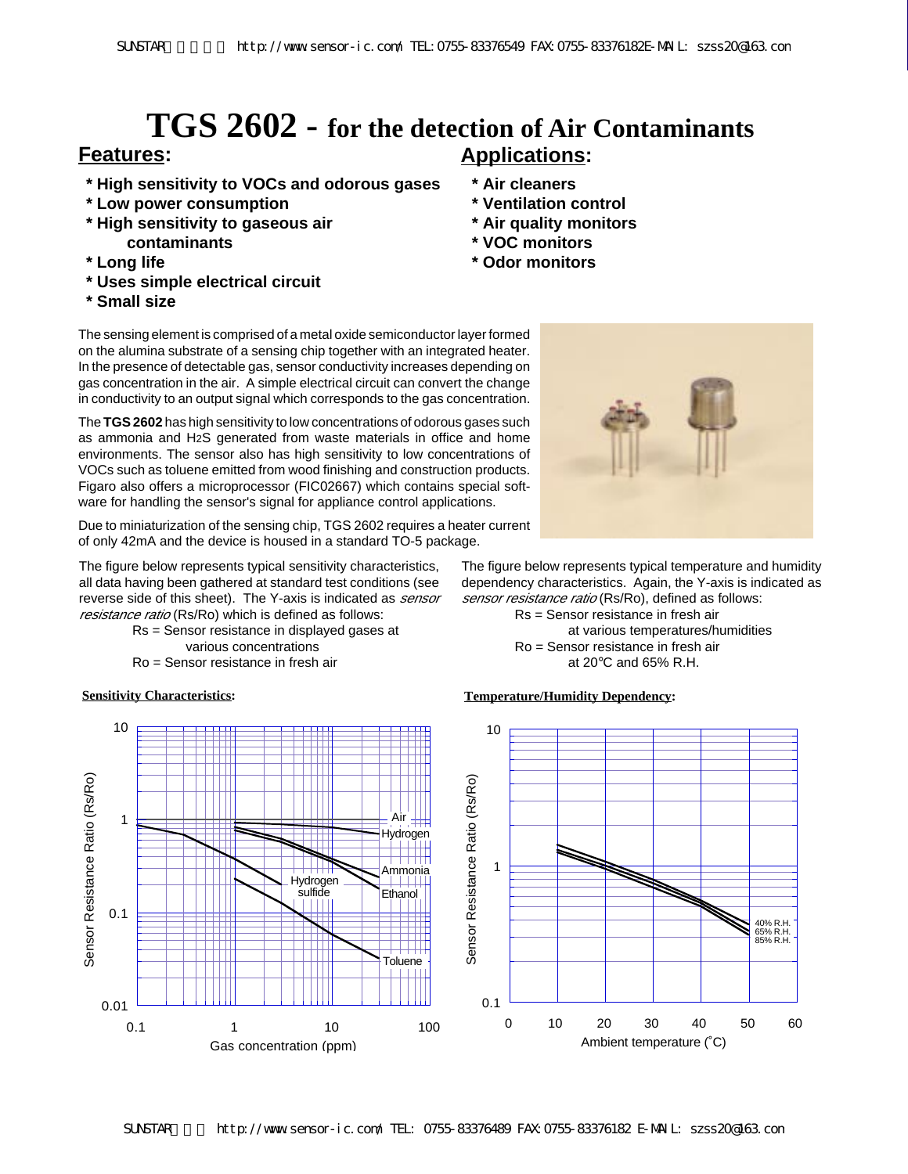# **Features: Applications: TGS 2602 - for the detection of Air Contaminants**

- **\* High sensitivity to VOCs and odorous gases**
- **\* Low power consumption**
- **\* High sensitivity to gaseous air contaminants**
- **\* Long life**
- **\* Uses simple electrical circuit**
- **\* Small size**

- **\* Air cleaners \* Ventilation control**
- **\* Air quality monitors**
- **\* VOC monitors**
- **\* Odor monitors**

The sensing element is comprised of a metal oxide semiconductor layer formed on the alumina substrate of a sensing chip together with an integrated heater. In the presence of detectable gas, sensor conductivity increases depending on gas concentration in the air. A simple electrical circuit can convert the change in conductivity to an output signal which corresponds to the gas concentration.

The **TGS 2602** has high sensitivity to low concentrations of odorous gases such as ammonia and H2S generated from waste materials in office and home environments. The sensor also has high sensitivity to low concentrations of VOCs such as toluene emitted from wood finishing and construction products. Figaro also offers a microprocessor (FIC02667) which contains special software for handling the sensor's signal for appliance control applications.

Due to miniaturization of the sensing chip, TGS 2602 requires a heater current of only 42mA and the device is housed in a standard TO-5 package.

The figure below represents typical sensitivity characteristics, all data having been gathered at standard test conditions (see reverse side of this sheet). The Y-axis is indicated as *sensor* resistance ratio (Rs/Ro) which is defined as follows:

Rs = Sensor resistance in displayed gases at various concentrations

Ro = Sensor resistance in fresh air





The figure below represents typical temperature and humidity dependency characteristics. Again, the Y-axis is indicated as sensor resistance ratio (Rs/Ro), defined as follows:

Rs = Sensor resistance in fresh air at various temperatures/humidities Ro = Sensor resistance in fresh air at 20°C and 65% R.H.

### **Sensitivity Characteristics: Temperature/Humidity Dependency:**